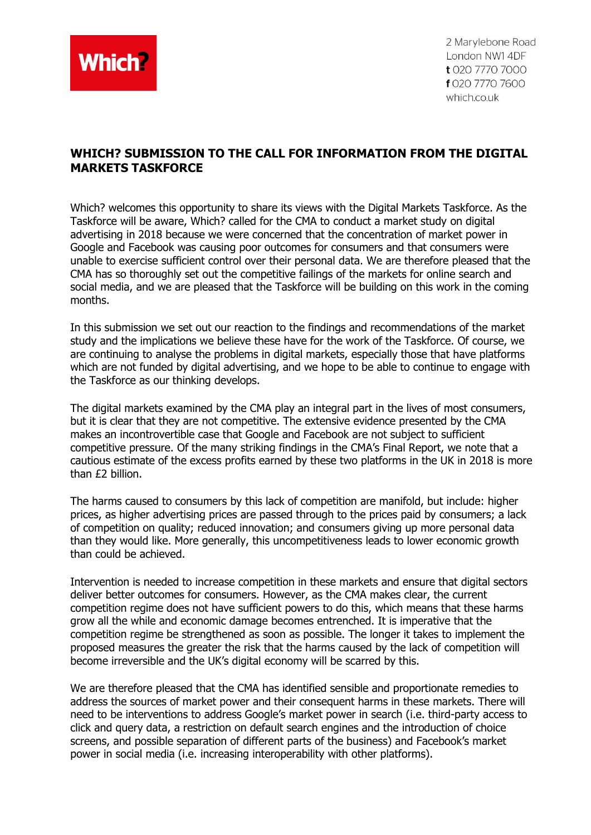

2 Marylebone Road London NW1 4DF t 020 7770 7000 f 020 7770 7600 which.co.uk

# **WHICH? SUBMISSION TO THE CALL FOR INFORMATION FROM THE DIGITAL MARKETS TASKFORCE**

Which? welcomes this opportunity to share its views with the Digital Markets Taskforce. As the Taskforce will be aware, Which? called for the CMA to conduct a market study on digital advertising in 2018 because we were concerned that the concentration of market power in Google and Facebook was causing poor outcomes for consumers and that consumers were unable to exercise sufficient control over their personal data. We are therefore pleased that the CMA has so thoroughly set out the competitive failings of the markets for online search and social media, and we are pleased that the Taskforce will be building on this work in the coming months.

In this submission we set out our reaction to the findings and recommendations of the market study and the implications we believe these have for the work of the Taskforce. Of course, we are continuing to analyse the problems in digital markets, especially those that have platforms which are not funded by digital advertising, and we hope to be able to continue to engage with the Taskforce as our thinking develops.

The digital markets examined by the CMA play an integral part in the lives of most consumers, but it is clear that they are not competitive. The extensive evidence presented by the CMA makes an incontrovertible case that Google and Facebook are not subject to sufficient competitive pressure. Of the many striking findings in the CMA's Final Report, we note that a cautious estimate of the excess profits earned by these two platforms in the UK in 2018 is more than £2 billion.

The harms caused to consumers by this lack of competition are manifold, but include: higher prices, as higher advertising prices are passed through to the prices paid by consumers; a lack of competition on quality; reduced innovation; and consumers giving up more personal data than they would like. More generally, this uncompetitiveness leads to lower economic growth than could be achieved.

Intervention is needed to increase competition in these markets and ensure that digital sectors deliver better outcomes for consumers. However, as the CMA makes clear, the current competition regime does not have sufficient powers to do this, which means that these harms grow all the while and economic damage becomes entrenched. It is imperative that the competition regime be strengthened as soon as possible. The longer it takes to implement the proposed measures the greater the risk that the harms caused by the lack of competition will become irreversible and the UK's digital economy will be scarred by this.

We are therefore pleased that the CMA has identified sensible and proportionate remedies to address the sources of market power and their consequent harms in these markets. There will need to be interventions to address Google's market power in search (i.e. third-party access to click and query data, a restriction on default search engines and the introduction of choice screens, and possible separation of different parts of the business) and Facebook's market power in social media (i.e. increasing interoperability with other platforms).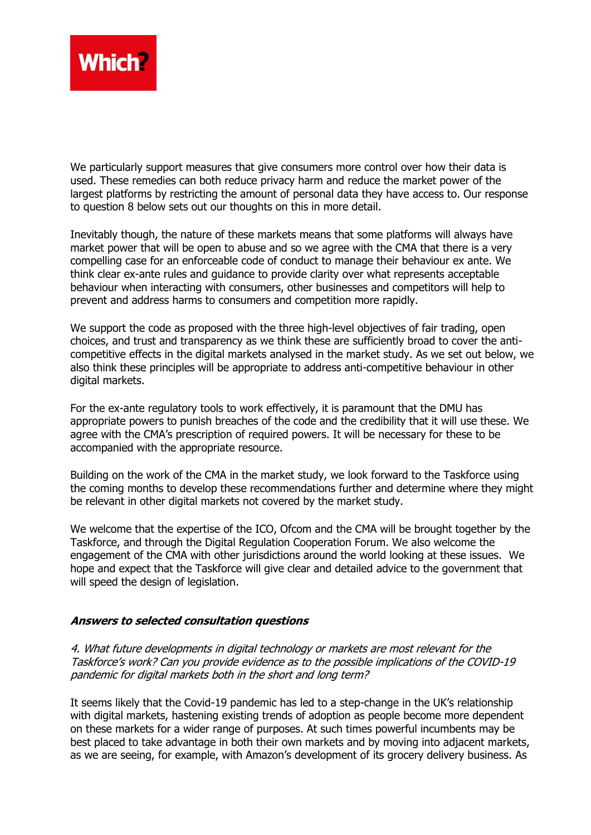

We particularly support measures that give consumers more control over how their data is used. These remedies can both reduce privacy harm and reduce the market power of the largest platforms by restricting the amount of personal data they have access to. Our response to question 8 below sets out our thoughts on this in more detail.

Inevitably though, the nature of these markets means that some platforms will always have market power that will be open to abuse and so we agree with the CMA that there is a very compelling case for an enforceable code of conduct to manage their behaviour ex ante. We think clear ex-ante rules and guidance to provide clarity over what represents acceptable behaviour when interacting with consumers, other businesses and competitors will help to prevent and address harms to consumers and competition more rapidly.

We support the code as proposed with the three high-level objectives of fair trading, open choices, and trust and transparency as we think these are sufficiently broad to cover the anticompetitive effects in the digital markets analysed in the market study. As we set out below, we also think these principles will be appropriate to address anti-competitive behaviour in other digital markets.

For the ex-ante regulatory tools to work effectively, it is paramount that the DMU has appropriate powers to punish breaches of the code and the credibility that it will use these. We agree with the CMA's prescription of required powers. It will be necessary for these to be accompanied with the appropriate resource.

Building on the work of the CMA in the market study, we look forward to the Taskforce using the coming months to develop these recommendations further and determine where they might be relevant in other digital markets not covered by the market study.

We welcome that the expertise of the ICO, Ofcom and the CMA will be brought together by the Taskforce, and through the Digital Regulation Cooperation Forum. We also welcome the engagement of the CMA with other jurisdictions around the world looking at these issues. We hope and expect that the Taskforce will give clear and detailed advice to the government that will speed the design of legislation.

### **Answers to selected consultation questions**

4. What future developments in digital technology or markets are most relevant for the Taskforce's work? Can you provide evidence as to the possible implications of the COVID-19 pandemic for digital markets both in the short and long term?

It seems likely that the Covid-19 pandemic has led to a step-change in the UK's relationship with digital markets, hastening existing trends of adoption as people become more dependent on these markets for a wider range of purposes. At such times powerful incumbents may be best placed to take advantage in both their own markets and by moving into adjacent markets, as we are seeing, for example, with Amazon's development of its grocery delivery business. As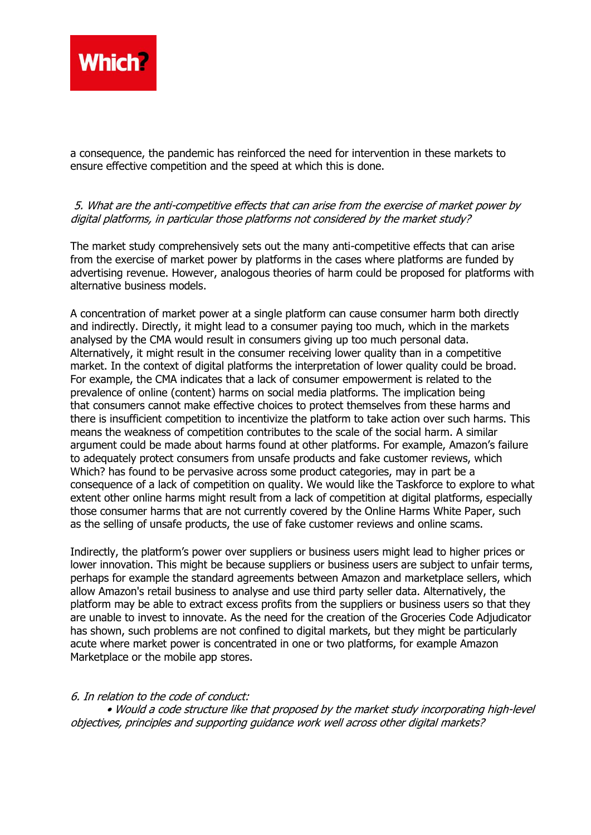

a consequence, the pandemic has reinforced the need for intervention in these markets to ensure effective competition and the speed at which this is done.

## 5. What are the anti-competitive effects that can arise from the exercise of market power by digital platforms, in particular those platforms not considered by the market study?

The market study comprehensively sets out the many anti-competitive effects that can arise from the exercise of market power by platforms in the cases where platforms are funded by advertising revenue. However, analogous theories of harm could be proposed for platforms with alternative business models.

A concentration of market power at a single platform can cause consumer harm both directly and indirectly. Directly, it might lead to a consumer paying too much, which in the markets analysed by the CMA would result in consumers giving up too much personal data. Alternatively, it might result in the consumer receiving lower quality than in a competitive market. In the context of digital platforms the interpretation of lower quality could be broad. For example, the CMA indicates that a lack of consumer empowerment is related to the prevalence of online (content) harms on social media platforms. The implication being that consumers cannot make effective choices to protect themselves from these harms and there is insufficient competition to incentivize the platform to take action over such harms. This means the weakness of competition contributes to the scale of the social harm. A similar argument could be made about harms found at other platforms. For example, Amazon's failure to adequately protect consumers from unsafe products and fake customer reviews, which Which? has found to be pervasive across some product categories, may in part be a consequence of a lack of competition on quality. We would like the Taskforce to explore to what extent other online harms might result from a lack of competition at digital platforms, especially those consumer harms that are not currently covered by the Online Harms White Paper, such as the selling of unsafe products, the use of fake customer reviews and online scams.

Indirectly, the platform's power over suppliers or business users might lead to higher prices or lower innovation. This might be because suppliers or business users are subject to unfair terms, perhaps for example the standard agreements between Amazon and marketplace sellers, which allow Amazon's retail business to analyse and use third party seller data. Alternatively, the platform may be able to extract excess profits from the suppliers or business users so that they are unable to invest to innovate. As the need for the creation of the Groceries Code Adjudicator has shown, such problems are not confined to digital markets, but they might be particularly acute where market power is concentrated in one or two platforms, for example Amazon Marketplace or the mobile app stores.

### 6. In relation to the code of conduct:

• Would a code structure like that proposed by the market study incorporating high-level objectives, principles and supporting guidance work well across other digital markets?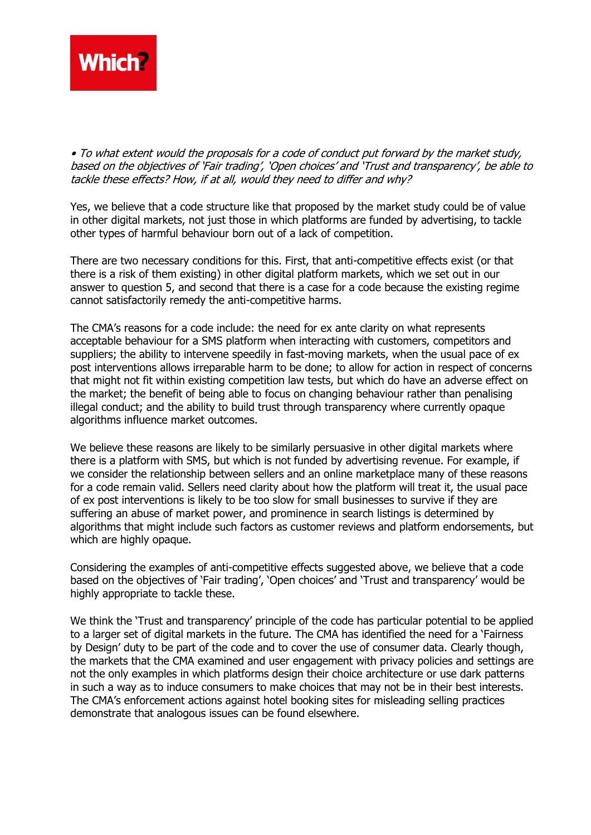

• To what extent would the proposals for a code of conduct put forward by the market study, based on the objectives of 'Fair trading', 'Open choices' and 'Trust and transparency', be able to tackle these effects? How, if at all, would they need to differ and why?

Yes, we believe that a code structure like that proposed by the market study could be of value in other digital markets, not just those in which platforms are funded by advertising, to tackle other types of harmful behaviour born out of a lack of competition.

There are two necessary conditions for this. First, that anti-competitive effects exist (or that there is a risk of them existing) in other digital platform markets, which we set out in our answer to question 5, and second that there is a case for a code because the existing regime cannot satisfactorily remedy the anti-competitive harms.

The CMA's reasons for a code include: the need for ex ante clarity on what represents acceptable behaviour for a SMS platform when interacting with customers, competitors and suppliers; the ability to intervene speedily in fast-moving markets, when the usual pace of ex post interventions allows irreparable harm to be done; to allow for action in respect of concerns that might not fit within existing competition law tests, but which do have an adverse effect on the market; the benefit of being able to focus on changing behaviour rather than penalising illegal conduct; and the ability to build trust through transparency where currently opaque algorithms influence market outcomes.

We believe these reasons are likely to be similarly persuasive in other digital markets where there is a platform with SMS, but which is not funded by advertising revenue. For example, if we consider the relationship between sellers and an online marketplace many of these reasons for a code remain valid. Sellers need clarity about how the platform will treat it, the usual pace of ex post interventions is likely to be too slow for small businesses to survive if they are suffering an abuse of market power, and prominence in search listings is determined by algorithms that might include such factors as customer reviews and platform endorsements, but which are highly opaque.

Considering the examples of anti-competitive effects suggested above, we believe that a code based on the objectives of 'Fair trading', 'Open choices' and 'Trust and transparency' would be highly appropriate to tackle these.

We think the 'Trust and transparency' principle of the code has particular potential to be applied to a larger set of digital markets in the future. The CMA has identified the need for a 'Fairness by Design' duty to be part of the code and to cover the use of consumer data. Clearly though, the markets that the CMA examined and user engagement with privacy policies and settings are not the only examples in which platforms design their choice architecture or use dark patterns in such a way as to induce consumers to make choices that may not be in their best interests. The CMA's enforcement actions against hotel booking sites for misleading selling practices demonstrate that analogous issues can be found elsewhere.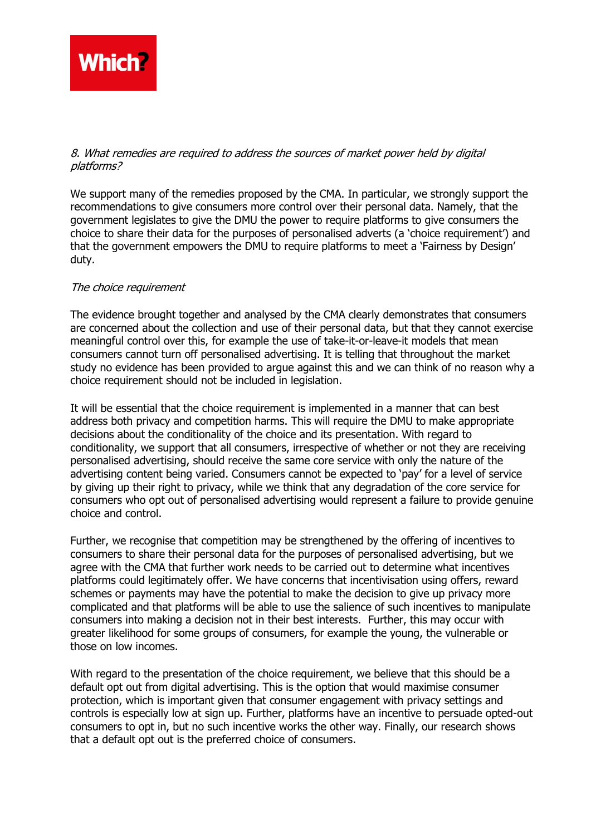

### 8. What remedies are required to address the sources of market power held by digital platforms?

We support many of the remedies proposed by the CMA. In particular, we strongly support the recommendations to give consumers more control over their personal data. Namely, that the government legislates to give the DMU the power to require platforms to give consumers the choice to share their data for the purposes of personalised adverts (a 'choice requirement') and that the government empowers the DMU to require platforms to meet a 'Fairness by Design' duty.

### The choice requirement

The evidence brought together and analysed by the CMA clearly demonstrates that consumers are concerned about the collection and use of their personal data, but that they cannot exercise meaningful control over this, for example the use of take-it-or-leave-it models that mean consumers cannot turn off personalised advertising. It is telling that throughout the market study no evidence has been provided to argue against this and we can think of no reason why a choice requirement should not be included in legislation.

It will be essential that the choice requirement is implemented in a manner that can best address both privacy and competition harms. This will require the DMU to make appropriate decisions about the conditionality of the choice and its presentation. With regard to conditionality, we support that all consumers, irrespective of whether or not they are receiving personalised advertising, should receive the same core service with only the nature of the advertising content being varied. Consumers cannot be expected to 'pay' for a level of service by giving up their right to privacy, while we think that any degradation of the core service for consumers who opt out of personalised advertising would represent a failure to provide genuine choice and control.

Further, we recognise that competition may be strengthened by the offering of incentives to consumers to share their personal data for the purposes of personalised advertising, but we agree with the CMA that further work needs to be carried out to determine what incentives platforms could legitimately offer. We have concerns that incentivisation using offers, reward schemes or payments may have the potential to make the decision to give up privacy more complicated and that platforms will be able to use the salience of such incentives to manipulate consumers into making a decision not in their best interests. Further, this may occur with greater likelihood for some groups of consumers, for example the young, the vulnerable or those on low incomes.

With regard to the presentation of the choice requirement, we believe that this should be a default opt out from digital advertising. This is the option that would maximise consumer protection, which is important given that consumer engagement with privacy settings and controls is especially low at sign up. Further, platforms have an incentive to persuade opted-out consumers to opt in, but no such incentive works the other way. Finally, our research shows that a default opt out is the preferred choice of consumers.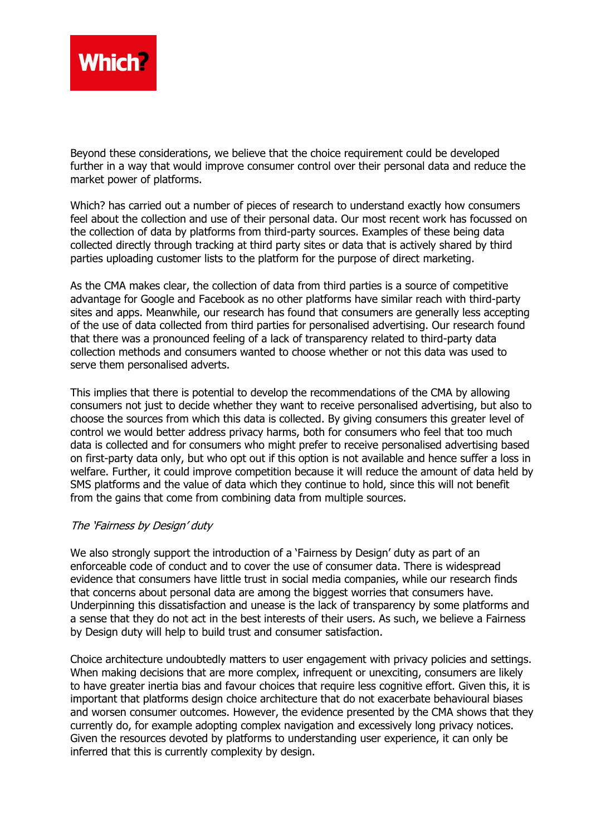

Beyond these considerations, we believe that the choice requirement could be developed further in a way that would improve consumer control over their personal data and reduce the market power of platforms.

Which? has carried out a number of pieces of research to understand exactly how consumers feel about the collection and use of their personal data. Our most recent work has focussed on the collection of data by platforms from third-party sources. Examples of these being data collected directly through tracking at third party sites or data that is actively shared by third parties uploading customer lists to the platform for the purpose of direct marketing.

As the CMA makes clear, the collection of data from third parties is a source of competitive advantage for Google and Facebook as no other platforms have similar reach with third-party sites and apps. Meanwhile, our research has found that consumers are generally less accepting of the use of data collected from third parties for personalised advertising. Our research found that there was a pronounced feeling of a lack of transparency related to third-party data collection methods and consumers wanted to choose whether or not this data was used to serve them personalised adverts.

This implies that there is potential to develop the recommendations of the CMA by allowing consumers not just to decide whether they want to receive personalised advertising, but also to choose the sources from which this data is collected. By giving consumers this greater level of control we would better address privacy harms, both for consumers who feel that too much data is collected and for consumers who might prefer to receive personalised advertising based on first-party data only, but who opt out if this option is not available and hence suffer a loss in welfare. Further, it could improve competition because it will reduce the amount of data held by SMS platforms and the value of data which they continue to hold, since this will not benefit from the gains that come from combining data from multiple sources.

### The 'Fairness by Design' duty

We also strongly support the introduction of a 'Fairness by Design' duty as part of an enforceable code of conduct and to cover the use of consumer data. There is widespread evidence that consumers have little trust in social media companies, while our research finds that concerns about personal data are among the biggest worries that consumers have. Underpinning this dissatisfaction and unease is the lack of transparency by some platforms and a sense that they do not act in the best interests of their users. As such, we believe a Fairness by Design duty will help to build trust and consumer satisfaction.

Choice architecture undoubtedly matters to user engagement with privacy policies and settings. When making decisions that are more complex, infrequent or unexciting, consumers are likely to have greater inertia bias and favour choices that require less cognitive effort. Given this, it is important that platforms design choice architecture that do not exacerbate behavioural biases and worsen consumer outcomes. However, the evidence presented by the CMA shows that they currently do, for example adopting complex navigation and excessively long privacy notices. Given the resources devoted by platforms to understanding user experience, it can only be inferred that this is currently complexity by design.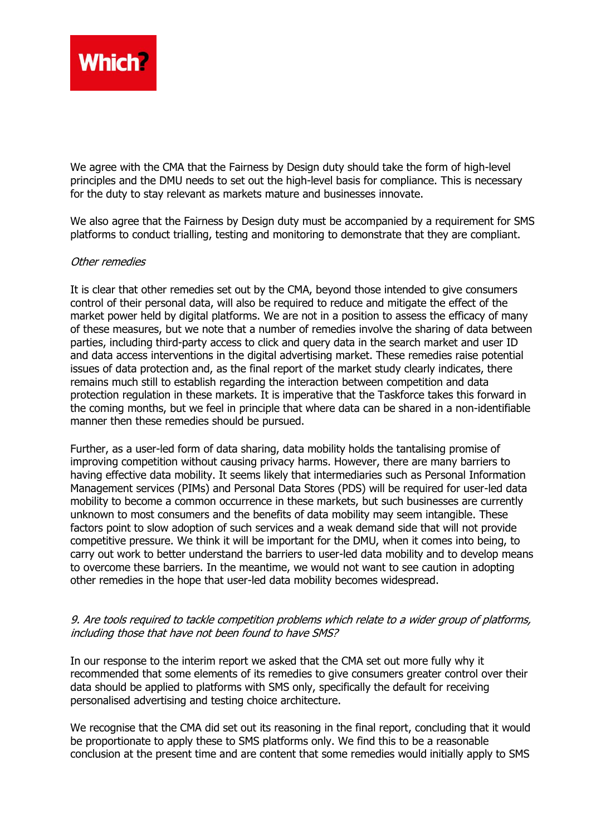

We agree with the CMA that the Fairness by Design duty should take the form of high-level principles and the DMU needs to set out the high-level basis for compliance. This is necessary for the duty to stay relevant as markets mature and businesses innovate.

We also agree that the Fairness by Design duty must be accompanied by a requirement for SMS platforms to conduct trialling, testing and monitoring to demonstrate that they are compliant.

### Other remedies

It is clear that other remedies set out by the CMA, beyond those intended to give consumers control of their personal data, will also be required to reduce and mitigate the effect of the market power held by digital platforms. We are not in a position to assess the efficacy of many of these measures, but we note that a number of remedies involve the sharing of data between parties, including third-party access to click and query data in the search market and user ID and data access interventions in the digital advertising market. These remedies raise potential issues of data protection and, as the final report of the market study clearly indicates, there remains much still to establish regarding the interaction between competition and data protection regulation in these markets. It is imperative that the Taskforce takes this forward in the coming months, but we feel in principle that where data can be shared in a non-identifiable manner then these remedies should be pursued.

Further, as a user-led form of data sharing, data mobility holds the tantalising promise of improving competition without causing privacy harms. However, there are many barriers to having effective data mobility. It seems likely that intermediaries such as Personal Information Management services (PIMs) and Personal Data Stores (PDS) will be required for user-led data mobility to become a common occurrence in these markets, but such businesses are currently unknown to most consumers and the benefits of data mobility may seem intangible. These factors point to slow adoption of such services and a weak demand side that will not provide competitive pressure. We think it will be important for the DMU, when it comes into being, to carry out work to better understand the barriers to user-led data mobility and to develop means to overcome these barriers. In the meantime, we would not want to see caution in adopting other remedies in the hope that user-led data mobility becomes widespread.

### 9. Are tools required to tackle competition problems which relate to a wider group of platforms, including those that have not been found to have SMS?

In our response to the interim report we asked that the CMA set out more fully why it recommended that some elements of its remedies to give consumers greater control over their data should be applied to platforms with SMS only, specifically the default for receiving personalised advertising and testing choice architecture.

We recognise that the CMA did set out its reasoning in the final report, concluding that it would be proportionate to apply these to SMS platforms only. We find this to be a reasonable conclusion at the present time and are content that some remedies would initially apply to SMS